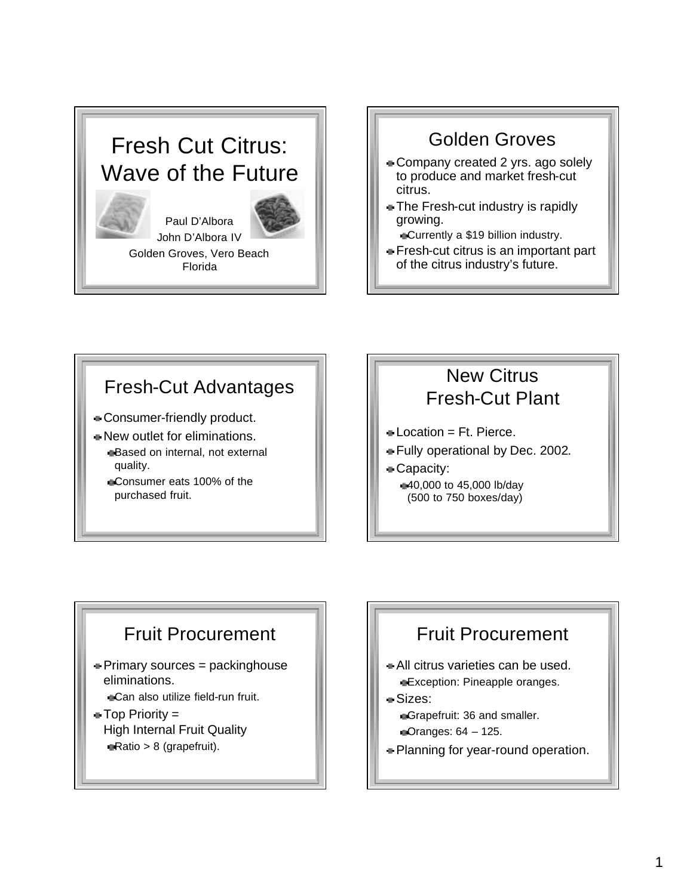# Fresh Cut Citrus: Wave of the Future



Paul D'Albora John D'Albora IV



Golden Groves, Vero Beach Florida

#### Golden Groves

- Company created 2 yrs. ago solely to produce and market fresh-cut citrus.
- **The Fresh-cut industry is rapidly** growing.

Currently a \$19 billion industry.

Fresh-cut citrus is an important part of the citrus industry's future.

#### Fresh-Cut Advantages

- Consumer-friendly product.
- New outlet for eliminations. Based on internal, not external quality.
	- Consumer eats 100% of the purchased fruit.

#### New Citrus Fresh-Cut Plant

- $Location = Ft$ . Pierce.
- Fully operational by Dec. 2002.
- Capacity: 40,000 to 45,000 lb/day (500 to 750 boxes/day)

#### Fruit Procurement

- Primary sources = packinghouse eliminations. **Can also utilize field-run fruit.**
- Top Priority = High Internal Fruit Quality Ratio > 8 (grapefruit).

#### Fruit Procurement

- All citrus varieties can be used. **Exception: Pineapple oranges.**
- Sizes: Grapefruit: 36 and smaller. Oranges: 64 – 125.
- **Planning for year-round operation.**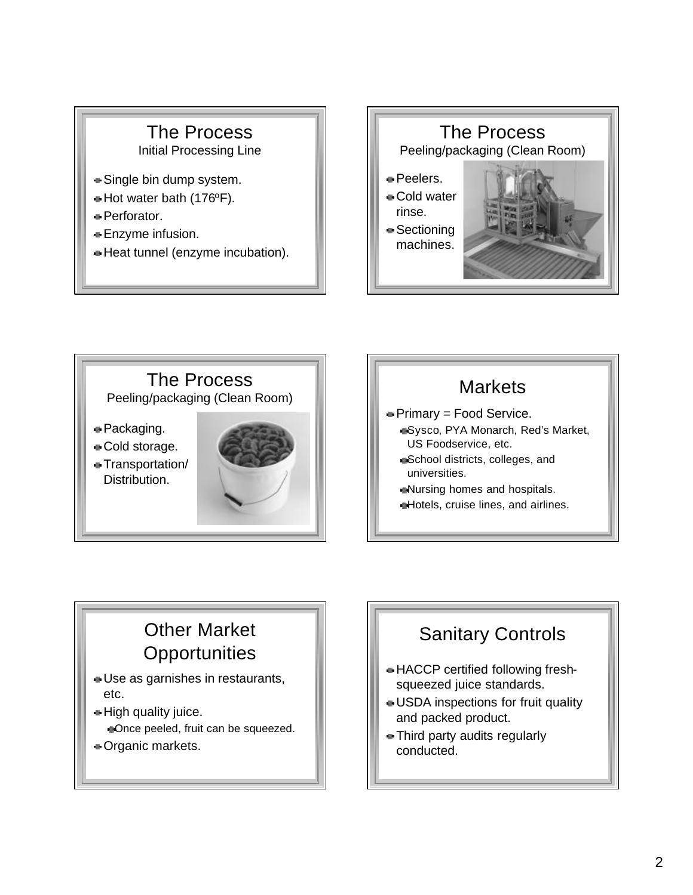#### The Process Initial Processing Line

- Single bin dump system.
- $\blacktriangleright$  Hot water bath (176 $\blacktriangleright$ F).
- **Perforator.**
- Enzyme infusion.
- Heat tunnel (enzyme incubation).





#### **Markets**

- Primary = Food Service.
	- Sysco, PYA Monarch, Red's Market, US Foodservice, etc.
	- School districts, colleges, and universities.
	- Nursing homes and hospitals.
	- **Hotels, cruise lines, and airlines.**

### Other Market **Opportunities**

- Use as garnishes in restaurants, etc.
- **High quality juice.** Once peeled, fruit can be squeezed.
- **Drganic markets.**

## Sanitary Controls

- HACCP certified following freshsqueezed juice standards.
- USDA inspections for fruit quality and packed product.
- Third party audits regularly conducted.